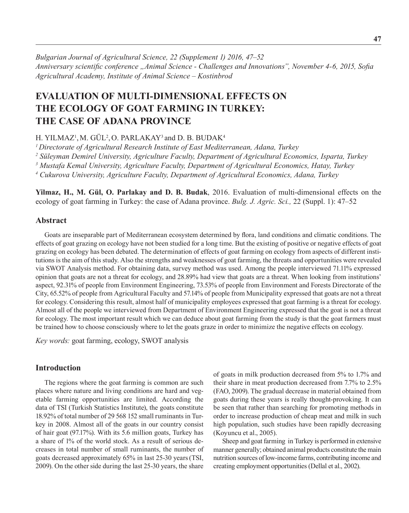*Bulgarian Journal of Agricultural Science, 22 (Supplement 1) 2016, 47–52 Anniversary scientific conference "Animal Science - Challenges and Innovations", November 4-6, 2015, Sofia Agricultural Academy, Institute оf Animal Science – Kostinbrod*

# **EVALUATION OF MULTI-DIMENSIONAL EFFECTS ON THE ECOLOGY OF GOAT FARMING IN TURKEY: THE CASE OF ADANA PROVINCE**

H. YILMAZ1 ,M. GÜL2 , O. PARLAKAY3 and D. B. BUDAK4

*1 Directorate of Agricultural Research Institute of East Mediterranean, Adana, Turkey*

*2 Süleyman Demirel University, Agriculture Faculty, Department of Agricultural Economics, Isparta, Turkey*

*3 Mustafa Kemal University, Agriculture Faculty, Department of Agricultural Economics, Hatay, Turkey* 

*4 Cukurova University, Agriculture Faculty, Department of Agricultural Economics, Adana, Turkey*

**Yilmaz, H., M. Gül, O. Parlakay and D. B. Budak**, 2016. Evaluation of multi-dimensional effects on the ecology of goat farming in Turkey: the case of Adana province. *Bulg. J. Agric. Sci.,* 22 (Suppl. 1): 47–52

#### **Abstract**

Goats are inseparable part of Mediterranean ecosystem determined by flora, land conditions and climatic conditions. The effects of goat grazing on ecology have not been studied for a long time. But the existing of positive or negative effects of goat grazing on ecology has been debated. The determination of effects of goat farming on ecology from aspects of different institutions is the aim of this study. Also the strengths and weaknesses of goat farming, the threats and opportunities were revealed via SWOT Analysis method. For obtaining data, survey method was used. Among the people interviewed 71.11% expressed opinion that goats are not a threat for ecology, and 28.89% had view that goats are a threat. When looking from institutions' aspect, 92.31% of people from Environment Engineering, 73.53% of people from Environment and Forests Directorate of the City, 65.52% of people from Agricultural Faculty and 57.14% of people from Municipality expressed that goats are not a threat for ecology. Considering this result, almost half of municipality employees expressed that goat farming is a threat for ecology. Almost all of the people we interviewed from Department of Environment Engineering expressed that the goat is not a threat for ecology. The most important result which we can deduce about goat farming from the study is that the goat farmers must be trained how to choose consciously where to let the goats graze in order to minimize the negative effects on ecology.

*Key words:* goat farming, ecology, SWOT analysis

## **Introduction**

The regions where the goat farming is common are such places where nature and living conditions are hard and vegetable farming opportunities are limited. According the data of TSI (Turkish Statistics Institute), the goats constitute 18.92% of total number of 29 568 152 small ruminants in Turkey in 2008. Almost all of the goats in our country consist of hair goat (97.17%). With its 5.6 million goats, Turkey has a share of 1% of the world stock. As a result of serious decreases in total number of small ruminants, the number of goats decreased approximately 65% in last 25-30 years(TSI, 2009). On the other side during the last 25-30 years, the share

of goats in milk production decreased from 5% to 1.7% and their share in meat production decreased from 7.7% to 2.5% (FAO, 2009). The gradual decrease in material obtained from goats during these years is really thought-provoking. It can be seen that rather than searching for promoting methods in order to increase production of cheap meat and milk in such high population, such studies have been rapidly decreasing (Koyuncu et al., 2005).

Sheep and goat farming in Turkey is performed in extensive manner generally; obtained animal products constitute the main nutrition sources of low-income farms, contributing income and creating employment opportunities (Dellal et al., 2002).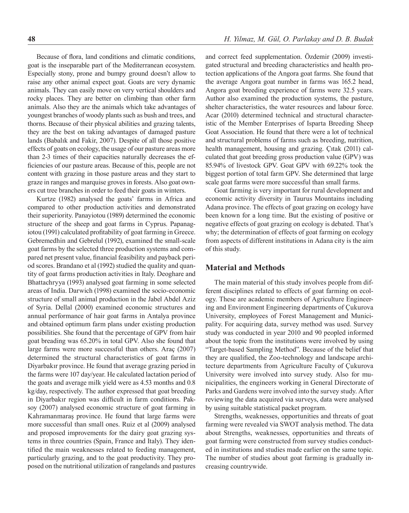Because of flora, land conditions and climatic conditions, goat is the inseparable part of the Mediterranean ecosystem. Especially stony, prone and bumpy ground doesn't allow to raise any other animal expect goat. Goats are very dynamic animals. They can easily move on very vertical shoulders and rocky places. They are better on climbing than other farm animals. Also they are the animals which take advantages of

youngest branches of woody plants such as bush and trees, and thorns. Because of their physical abilities and grazing talents, they are the best on taking advantages of damaged pasture lands (Babalık and Fakir, 2007). Despite of all those positive effects of goats on ecology, the usage of our pasture areas more than 2-3 times of their capacities naturally decreases the efficiencies of our pasture areas. Because of this, people are not content with grazing in those pasture areas and they start to graze in ranges and marquise groves in forests. Also goat owners cut tree branches in order to feed their goats in winters.

Kurtze (1982) analysed the goats' farms in Africa and compared to other production activities and demonstrated their superiority. Panayiotou (1989) determined the economic structure of the sheep and goat farms in Cyprus. Papanagiotou (1991) calculated profitability of goat farming in Greece. Gebremedhin and Gebrelul (1992), examined the small-scale goat farms by the selected three production systems and compared net present value, financial feasibility and payback period scores. Brandano et al (1992) studied the quality and quantity of goat farms production activities in Italy. Deoghare and Bhattachryya (1993) analysed goat farming in some selected areas of India. Darwich (1998) examined the socio-economic structure of small animal production in the Jabel Abdel Aziz of Syria. Dellal (2000) examined economic structures and annual performance of hair goat farms in Antalya province and obtained optimum farm plans under existing production possibilities. She found that the percentage of GPV from hair goat breading was 65.20% in total GPV. Also she found that large farms were more successful than others. Araç (2007) determined the structural characteristics of goat farms in Diyarbakır province. He found that average grazing period in the farms were 107 day/year. He calculated lactation period of the goats and average milk yield were as 4.53 months and 0.8 kg/day, respectively. The author expressed that goat breeding in Diyarbakır region was difficult in farm conditions. Paksoy (2007) analysed economic structure of goat farming in Kahramanmaraş province. He found that large farms were more successful than small ones. Ruiz et al (2009) analysed and proposed improvements for the dairy goat grazing systems in three countries (Spain, France and Italy). They identified the main weaknesses related to feeding management, particularly grazing, and to the goat productivity. They proposed on the nutritional utilization of rangelands and pastures and correct feed supplementation. Özdemir (2009) investigated structural and breeding characteristics and health protection applications of the Angora goat farms. She found that the average Angora goat number in farms was 165.2 head, Angora goat breeding experience of farms were 32.5 years. Author also examined the production systems, the pasture, shelter characteristics, the water resources and labour force. Acar (2010) determined technical and structural characteristic of the Member Enterprises of Isparta Breeding Sheep Goat Association. He found that there were a lot of technical and structural problems of farms such as breeding, nutrition, health management, housing and grazing. Çıtak (2011) calculated that goat breeding gross production value (GPV) was 85.94% of livestock GPV. Goat GPV with 69.22% took the biggest portion of total farm GPV. She determined that large scale goat farms were more successful than small farms.

Goat farming is very important for rural development and economic activity diversity in Taurus Mountains including Adana province. The effects of goat grazing on ecology have been known for a long time. But the existing of positive or negative effects of goat grazing on ecology is debated. That's why; the determination of effects of goat farming on ecology from aspects of different institutions in Adana city is the aim of this study.

#### **Material and Methods**

The main material of this study involves people from different disciplines related to effects of goat farming on ecology. These are academic members of Agriculture Engineering and Environment Engineering departments of Çukurova University, employees of Forest Management and Municipality. For acquiring data, survey method was used. Survey study was conducted in year 2010 and 90 peopled informed about the topic from the institutions were involved by using "Target-based Sampling Method". Because of the belief that they are qualified, the Zoo-technology and landscape architecture departments from Agriculture Faculty of Çukurova University were involved into survey study. Also for municipalities, the engineers working in General Directorate of Parks and Gardens were involved into the survey study. After reviewing the data acquired via surveys, data were analysed by using suitable statistical packet program.

Strengths, weaknesses, opportunities and threats of goat farming were revealed via SWOT analysis method. The data about Strengths, weaknesses, opportunities and threats of goat farming were constructed from survey studies conducted in institutions and studies made earlier on the same topic. The number of studies about goat farming is gradually increasing countrywide.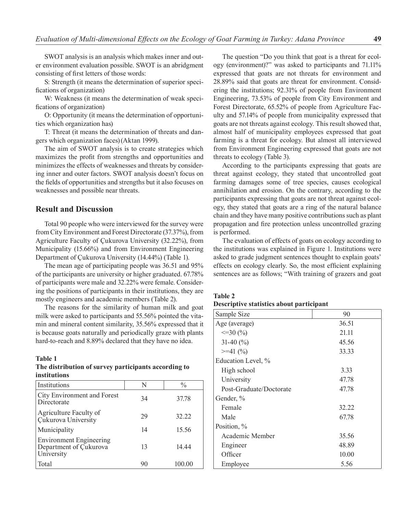SWOT analysis is an analysis which makes inner and outer environment evaluation possible. SWOT is an abridgment consisting of first letters of those words:

S: Strength (it means the determination of superior specifications of organization)

W: Weakness (it means the determination of weak specifications of organization)

O: Opportunity (it means the determination of opportunities which organization has)

T: Threat (it means the determination of threats and dangers which organization faces)(Aktan 1999).

The aim of SWOT analysis is to create strategies which maximizes the profit from strengths and opportunities and minimizes the effects of weaknesses and threats by considering inner and outer factors. SWOT analysis doesn't focus on the fields of opportunities and strengths but it also focuses on weaknesses and possible near threats.

#### **Result and Discussion**

Total 90 people who were interviewed for the survey were from City Environment and Forest Directorate (37.37%), from Agriculture Faculty of Çukurova University (32.22%), from Municipality (15.66%) and from Environment Engineering Department of Çukurova University (14.44%) (Table 1).

The mean age of participating people was 36.51 and 95% of the participants are university or higher graduated. 67.78% of participants were male and 32.22% were female. Considering the positions of participants in their institutions, they are mostly engineers and academic members (Table 2).

The reasons for the similarity of human milk and goat milk were asked to participants and 55.56% pointed the vitamin and mineral content similarity, 35.56% expressed that it is because goats naturally and periodically graze with plants hard-to-reach and 8.89% declared that they have no idea.

#### **Table 1**

#### **The distribution of survey participants according to institutions**

| Institutions                                                           | N  | $\frac{0}{0}$ |
|------------------------------------------------------------------------|----|---------------|
| City Environment and Forest<br>Directorate                             | 34 | 37.78         |
| Agriculture Faculty of<br>Cukurova University                          | 29 | 32.22         |
| Municipality                                                           | 14 | 15.56         |
| <b>Environment Engineering</b><br>Department of Çukurova<br>University | 13 | 14.44         |
| Total                                                                  | 90 | 100.00        |

The question "Do you think that goat is a threat for ecology (environment)?" was asked to participants and 71.11% expressed that goats are not threats for environment and 28.89% said that goats are threat for environment. Considering the institutions; 92.31% of people from Environment Engineering, 73.53% of people from City Environment and Forest Directorate, 65.52% of people from Agriculture Faculty and 57.14% of people from municipality expressed that goats are not threats against ecology. This result showed that, almost half of municipality employees expressed that goat farming is a threat for ecology. But almost all interviewed from Environment Engineering expressed that goats are not threats to ecology (Table 3).

According to the participants expressing that goats are threat against ecology, they stated that uncontrolled goat farming damages some of tree species, causes ecological annihilation and erosion. On the contrary, according to the participants expressing that goats are not threat against ecology, they stated that goats are a ring of the natural balance chain and they have many positive contributions such as plant propagation and fire protection unless uncontrolled grazing is performed.

The evaluation of effects of goats on ecology according to the institutions was explained in Figure 1. Institutions were asked to grade judgment sentences thought to explain goats' effects on ecology clearly. So, the most efficient explaining sentences are as follows; "With training of grazers and goat

#### **Table 2**

#### **Descriptive statistics about participant**

| Sample Size             | 90    |
|-------------------------|-------|
| Age (average)           | 36.51 |
| $\leq$ 30 (%)           | 21.11 |
| 31-40 $(\% )$           | 45.56 |
| $>=1 (%)$               | 33.33 |
| Education Level, %      |       |
| High school             | 3.33  |
| University              | 47.78 |
| Post-Graduate/Doctorate | 47.78 |
| Gender, %               |       |
| Female                  | 32.22 |
| Male                    | 67.78 |
| Position, %             |       |
| Academic Member         | 35.56 |
| Engineer                | 48.89 |
| Officer                 | 10.00 |
| Employee                | 5.56  |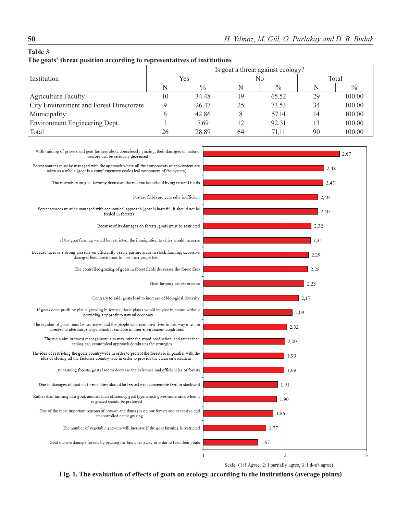# **Table 3**

|  |  |  | The goats' threat position according to representatives of institutions |  |
|--|--|--|-------------------------------------------------------------------------|--|
|--|--|--|-------------------------------------------------------------------------|--|

|                                         | Is goat a threat against ecology? |               |    |               |       |               |
|-----------------------------------------|-----------------------------------|---------------|----|---------------|-------|---------------|
| Institution                             | Yes                               |               | No |               | Total |               |
|                                         |                                   | $\frac{0}{0}$ | N  | $\frac{0}{0}$ | N     | $\frac{0}{0}$ |
| <b>Agriculture Faculty</b>              | 10                                | 34.48         | 19 | 65.52         | 29    | 100.00        |
| City Environment and Forest Directorate |                                   | 26.47         | 25 | 73.53         | 34    | 100.00        |
| Municipality                            |                                   | 42.86         | 8  | 5714          | 14    | 100.00        |
| Environment Engineering Dept.           |                                   | 7.69          | 12 | 92.31         | 13    | 100.00        |
| Total                                   | 26                                | 28.89         | 64 | 71.11         | 90    | 100.00        |



Scale (1: I Agree, 2: I partially agree, 3: I don't agree)

**Fig. 1. The evaluation of effects of goats on ecology according to the institutions (average points)**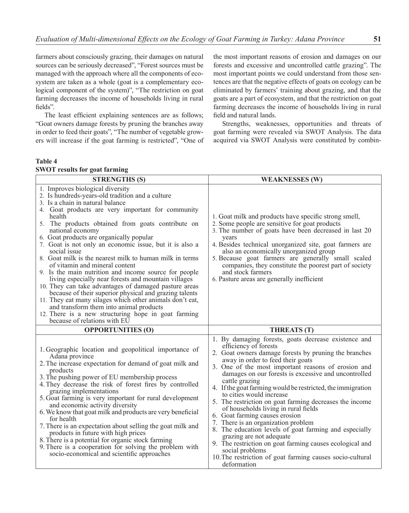farmers about consciously grazing, their damages on natural sources can be seriously decreased", "Forest sources must be managed with the approach where all the components of ecosystem are taken as a whole (goat is a complementary ecological component of the system)", "The restriction on goat farming decreases the income of households living in rural fields".

The least efficient explaining sentences are as follows; "Goat owners damage forests by pruning the branches away in order to feed their goats", "The number of vegetable growers will increase if the goat farming is restricted", "One of the most important reasons of erosion and damages on our forests and excessive and uncontrolled cattle grazing". The most important points we could understand from those sentences are that the negative effects of goats on ecology can be eliminated by farmers' training about grazing, and that the goats are a part of ecosystem, and that the restriction on goat farming decreases the income of households living in rural field and natural lands.

Strengths, weaknesses, opportunities and threats of goat farming were revealed via SWOT Analysis. The data acquired via SWOT Analysis were constituted by combin-

## **Table 4 SWOT results for goat farming**

| <b>STRENGTHS (S)</b>                                                                                                                                                                                                                                                                                                                                                                                                                                                                                                                                                                                                                                                                                                                                                                                                                                                                                                   | <b>WEAKNESSES (W)</b>                                                                                                                                                                                                                                                                                                                                                                                                                                                                                                                                                                                                                                                                                                                                                                                                                |
|------------------------------------------------------------------------------------------------------------------------------------------------------------------------------------------------------------------------------------------------------------------------------------------------------------------------------------------------------------------------------------------------------------------------------------------------------------------------------------------------------------------------------------------------------------------------------------------------------------------------------------------------------------------------------------------------------------------------------------------------------------------------------------------------------------------------------------------------------------------------------------------------------------------------|--------------------------------------------------------------------------------------------------------------------------------------------------------------------------------------------------------------------------------------------------------------------------------------------------------------------------------------------------------------------------------------------------------------------------------------------------------------------------------------------------------------------------------------------------------------------------------------------------------------------------------------------------------------------------------------------------------------------------------------------------------------------------------------------------------------------------------------|
| 1. Improves biological diversity<br>2. Is hundreds-years-old tradition and a culture<br>3. Is a chain in natural balance<br>4. Goat products are very important for community<br>health<br>5. The products obtained from goats contribute on<br>national economy<br>6. Goat products are organically popular<br>7. Goat is not only an economic issue, but it is also a<br>social issue<br>8. Goat milk is the nearest milk to human milk in terms<br>of vitamin and mineral content<br>9. Is the main nutrition and income source for people<br>living especially near forests and mountain villages<br>10. They can take advantages of damaged pasture areas<br>because of their superior physical and grazing talents<br>11. They eat many silages which other animals don't eat,<br>and transform them into animal products<br>12. There is a new structuring hope in goat farming<br>because of relations with EU | 1. Goat milk and products have specific strong smell,<br>2. Some people are sensitive for goat products<br>3. The number of goats have been decreased in last 20<br>years<br>4. Besides technical unorganized site, goat farmers are<br>also an economically unorganized group<br>5. Because goat farmers are generally small scaled<br>companies, they constitute the poorest part of society<br>and stock farmers<br>6. Pasture areas are generally inefficient                                                                                                                                                                                                                                                                                                                                                                    |
| <b>OPPORTUNITIES (O)</b>                                                                                                                                                                                                                                                                                                                                                                                                                                                                                                                                                                                                                                                                                                                                                                                                                                                                                               | <b>THREATS (T)</b>                                                                                                                                                                                                                                                                                                                                                                                                                                                                                                                                                                                                                                                                                                                                                                                                                   |
| 1. Geographic location and geopolitical importance of<br>Adana province<br>2. The increase expectation for demand of goat milk and<br>products<br>3. The pushing power of EU membership process<br>4. They decrease the risk of forest fires by controlled<br>grazing implementations<br>5. Goat farming is very important for rural development<br>and economic activity diversity<br>6. We know that goat milk and products are very beneficial<br>for health<br>7. There is an expectation about selling the goat milk and<br>products in future with high prices<br>8. There is a potential for organic stock farming<br>9. There is a cooperation for solving the problem with<br>socio-economical and scientific approaches                                                                                                                                                                                      | 1. By damaging forests, goats decrease existence and<br>efficiency of forests<br>2. Goat owners damage forests by pruning the branches<br>away in order to feed their goats<br>3. One of the most important reasons of erosion and<br>damages on our forests is excessive and uncontrolled<br>cattle grazing<br>4. If the goat farming would be restricted, the immigration<br>to cities would increase<br>5. The restriction on goat farming decreases the income<br>of households living in rural fields<br>6. Goat farming causes erosion<br>7. There is an organization problem<br>8. The education levels of goat farming and especially<br>grazing are not adequate<br>9. The restriction on goat farming causes ecological and<br>social problems<br>10. The restriction of goat farming causes socio-cultural<br>deformation |